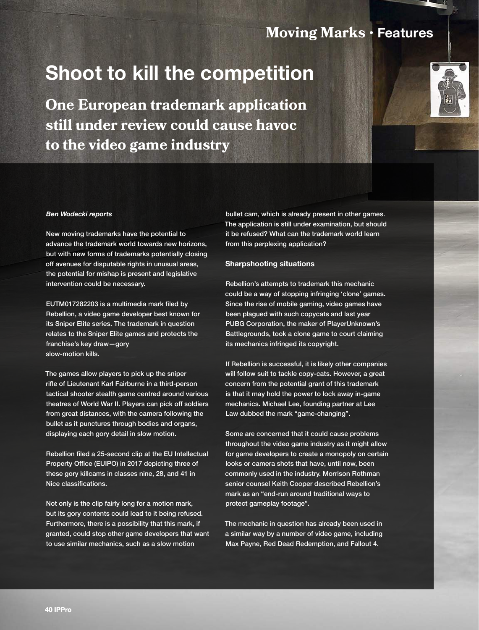## **Moving Marks • Features**

# **Shoot to kill the competition**

**One European trademark application still under review could cause havoc to the video game industry**



#### *Ben Wodecki reports*

New moving trademarks have the potential to advance the trademark world towards new horizons, but with new forms of trademarks potentially closing off avenues for disputable rights in unusual areas, the potential for mishap is present and legislative intervention could be necessary.

EUTM017282203 is a multimedia mark filed by Rebellion, a video game developer best known for its Sniper Elite series. The trademark in question relates to the Sniper Elite games and protects the franchise's key draw—gory slow-motion kills.

The games allow players to pick up the sniper rifle of Lieutenant Karl Fairburne in a third-person tactical shooter stealth game centred around various theatres of World War II. Players can pick off soldiers from great distances, with the camera following the bullet as it punctures through bodies and organs, displaying each gory detail in slow motion.

Rebellion filed a 25-second clip at the EU Intellectual Property Office (EUIPO) in 2017 depicting three of these gory killcams in classes nine, 28, and 41 in Nice classifications.

Not only is the clip fairly long for a motion mark, but its gory contents could lead to it being refused. Furthermore, there is a possibility that this mark, if granted, could stop other game developers that want to use similar mechanics, such as a slow motion

bullet cam, which is already present in other games. The application is still under examination, but should it be refused? What can the trademark world learn from this perplexing application?

#### **Sharpshooting situations**

Rebellion's attempts to trademark this mechanic could be a way of stopping infringing 'clone' games. Since the rise of mobile gaming, video games have been plagued with such copycats and last year PUBG Corporation, the maker of PlayerUnknown's Battlegrounds, took a clone game to court claiming its mechanics infringed its copyright.

If Rebellion is successful, it is likely other companies will follow suit to tackle copy-cats. However, a great concern from the potential grant of this trademark is that it may hold the power to lock away in-game mechanics. Michael Lee, founding partner at Lee Law dubbed the mark "game-changing".

Some are concerned that it could cause problems throughout the video game industry as it might allow for game developers to create a monopoly on certain looks or camera shots that have, until now, been commonly used in the industry. Morrison Rothman senior counsel Keith Cooper described Rebellion's mark as an "end-run around traditional ways to protect gameplay footage".

The mechanic in question has already been used in a similar way by a number of video game, including Max Payne, Red Dead Redemption, and Fallout 4.